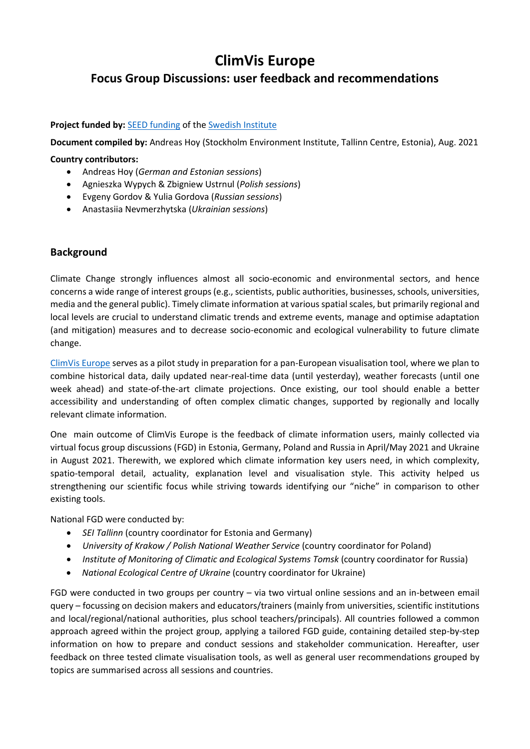# **ClimVis Europe**

# **Focus Group Discussions: user feedback and recommendations**

#### **Project funded by:** [SEED funding](https://si.se/en/apply/funding-grants/pi/) of the [Swedish Institute](https://si.se/en/)

**Document compiled by:** Andreas Hoy (Stockholm Environment Institute, Tallinn Centre, Estonia), Aug. 2021

#### **Country contributors:**

- Andreas Hoy (*German and Estonian sessions*)
- Agnieszka Wypych & Zbigniew Ustrnul (*Polish sessions*)
- Evgeny Gordov & Yulia Gordova (*Russian sessions*)
- Anastasiia Nevmerzhytska (*Ukrainian sessions*)

#### **Background**

Climate Change strongly influences almost all socio-economic and environmental sectors, and hence concerns a wide range of interest groups (e.g., scientists, public authorities, businesses, schools, universities, media and the general public). Timely climate information at various spatial scales, but primarily regional and local levels are crucial to understand climatic trends and extreme events, manage and optimise adaptation (and mitigation) measures and to decrease socio-economic and ecological vulnerability to future climate change.

[ClimVis Europe](https://www.sei.org/projects-and-tools/projects/climvis/) serves as a pilot study in preparation for a pan-European visualisation tool, where we plan to combine historical data, daily updated near-real-time data (until yesterday), weather forecasts (until one week ahead) and state-of-the-art climate projections. Once existing, our tool should enable a better accessibility and understanding of often complex climatic changes, supported by regionally and locally relevant climate information.

One main outcome of ClimVis Europe is the feedback of climate information users, mainly collected via virtual focus group discussions (FGD) in Estonia, Germany, Poland and Russia in April/May 2021 and Ukraine in August 2021. Therewith, we explored which climate information key users need, in which complexity, spatio-temporal detail, actuality, explanation level and visualisation style. This activity helped us strengthening our scientific focus while striving towards identifying our "niche" in comparison to other existing tools.

National FGD were conducted by:

- *SEI Tallinn* (country coordinator for Estonia and Germany)
- *University of Krakow / Polish National Weather Service* (country coordinator for Poland)
- *Institute of Monitoring of Climatic and Ecological Systems Tomsk* (country coordinator for Russia)
- *National Ecological Centre of Ukraine* (country coordinator for Ukraine)

FGD were conducted in two groups per country – via two virtual online sessions and an in-between email query – focussing on decision makers and educators/trainers (mainly from universities, scientific institutions and local/regional/national authorities, plus school teachers/principals). All countries followed a common approach agreed within the project group, applying a tailored FGD guide, containing detailed step-by-step information on how to prepare and conduct sessions and stakeholder communication. Hereafter, user feedback on three tested climate visualisation tools, as well as general user recommendations grouped by topics are summarised across all sessions and countries.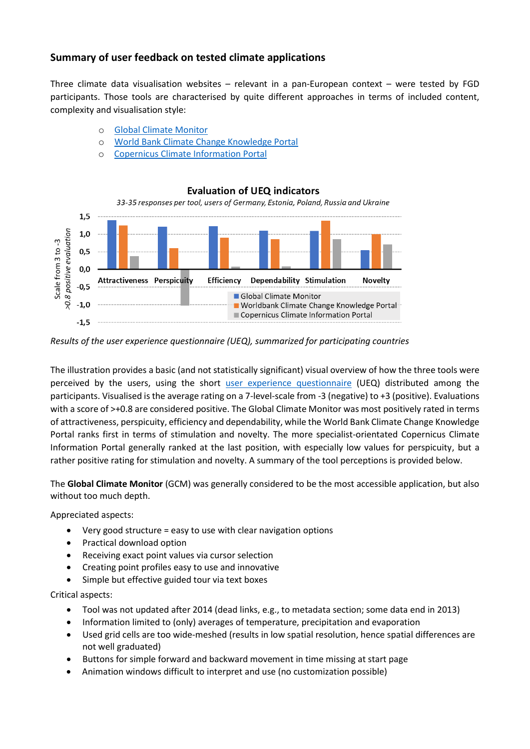# **Summary of user feedback on tested climate applications**

Three climate data visualisation websites – relevant in a pan-European context – were tested by FGD participants. Those tools are characterised by quite different approaches in terms of included content, complexity and visualisation style:

- o [Global Climate Monitor](http://www.globalclimatemonitor.org/)
- o World [Bank Climate Change Knowledge Portal](https://climateknowledgeportal.worldbank.org/)
- o [Copernicus Climate Information Portal](http://www.clipc.eu/indicator-toolkit)

#### **Evaluation of UEQ indicators**



*Results of the user experience questionnaire (UEQ), summarized for participating countries*

The illustration provides a basic (and not statistically significant) visual overview of how the three tools were perceived by the users, using the short [user experience questionnaire](https://www.ueq-online.org/) (UEQ) distributed among the participants. Visualised is the average rating on a 7-level-scale from -3 (negative) to +3 (positive). Evaluations with a score of >+0.8 are considered positive. The Global Climate Monitor was most positively rated in terms of attractiveness, perspicuity, efficiency and dependability, while the World Bank Climate Change Knowledge Portal ranks first in terms of stimulation and novelty. The more specialist-orientated Copernicus Climate Information Portal generally ranked at the last position, with especially low values for perspicuity, but a rather positive rating for stimulation and novelty. A summary of the tool perceptions is provided below.

The **Global Climate Monitor** (GCM) was generally considered to be the most accessible application, but also without too much depth.

Appreciated aspects:

- Very good structure = easy to use with clear navigation options
- Practical download option
- Receiving exact point values via cursor selection
- Creating point profiles easy to use and innovative
- Simple but effective guided tour via text boxes

Critical aspects:

- Tool was not updated after 2014 (dead links, e.g., to metadata section; some data end in 2013)
- Information limited to (only) averages of temperature, precipitation and evaporation
- Used grid cells are too wide-meshed (results in low spatial resolution, hence spatial differences are not well graduated)
- Buttons for simple forward and backward movement in time missing at start page
- Animation windows difficult to interpret and use (no customization possible)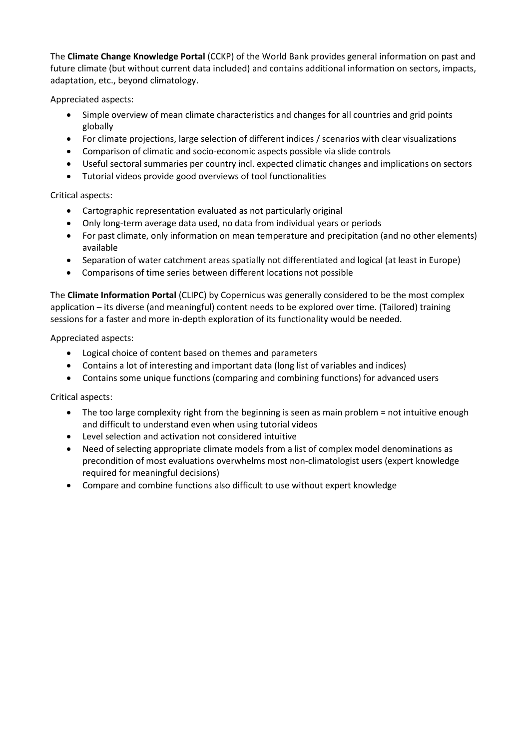The **Climate Change Knowledge Portal** (CCKP) of the World Bank provides general information on past and future climate (but without current data included) and contains additional information on sectors, impacts, adaptation, etc., beyond climatology.

Appreciated aspects:

- Simple overview of mean climate characteristics and changes for all countries and grid points globally
- For climate projections, large selection of different indices / scenarios with clear visualizations
- Comparison of climatic and socio-economic aspects possible via slide controls
- Useful sectoral summaries per country incl. expected climatic changes and implications on sectors
- Tutorial videos provide good overviews of tool functionalities

#### Critical aspects:

- Cartographic representation evaluated as not particularly original
- Only long-term average data used, no data from individual years or periods
- For past climate, only information on mean temperature and precipitation (and no other elements) available
- Separation of water catchment areas spatially not differentiated and logical (at least in Europe)
- Comparisons of time series between different locations not possible

The **Climate Information Portal** (CLIPC) by Copernicus was generally considered to be the most complex application – its diverse (and meaningful) content needs to be explored over time. (Tailored) training sessions for a faster and more in-depth exploration of its functionality would be needed.

Appreciated aspects:

- Logical choice of content based on themes and parameters
- Contains a lot of interesting and important data (long list of variables and indices)
- Contains some unique functions (comparing and combining functions) for advanced users

Critical aspects:

- The too large complexity right from the beginning is seen as main problem = not intuitive enough and difficult to understand even when using tutorial videos
- Level selection and activation not considered intuitive
- Need of selecting appropriate climate models from a list of complex model denominations as precondition of most evaluations overwhelms most non-climatologist users (expert knowledge required for meaningful decisions)
- Compare and combine functions also difficult to use without expert knowledge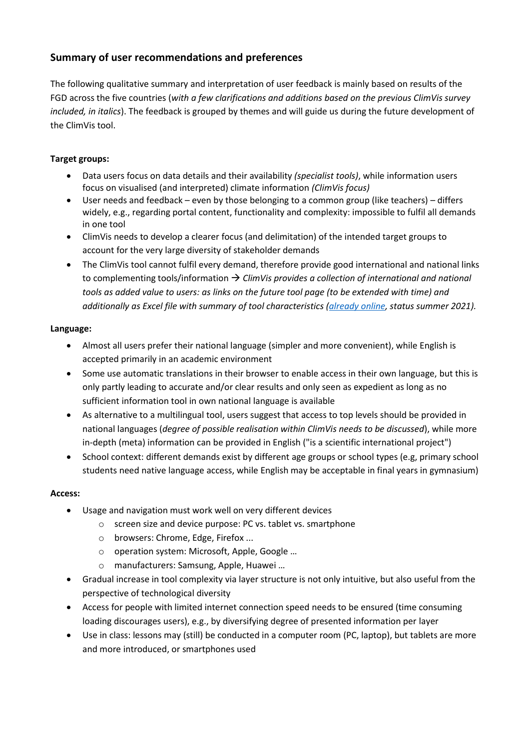# **Summary of user recommendations and preferences**

The following qualitative summary and interpretation of user feedback is mainly based on results of the FGD across the five countries (*with a few clarifications and additions based on the previous ClimVis survey included, in italics*). The feedback is grouped by themes and will guide us during the future development of the ClimVis tool.

## **Target groups:**

- Data users focus on data details and their availability *(specialist tools)*, while information users focus on visualised (and interpreted) climate information *(ClimVis focus)*
- User needs and feedback even by those belonging to a common group (like teachers) differs widely, e.g., regarding portal content, functionality and complexity: impossible to fulfil all demands in one tool
- ClimVis needs to develop a clearer focus (and delimitation) of the intended target groups to account for the very large diversity of stakeholder demands
- The ClimVis tool cannot fulfil every demand, therefore provide good international and national links to complementing tools/information → *ClimVis provides a collection of international and national tools as added value to users: as links on the future tool page (to be extended with time) and additionally as Excel file with summary of tool characteristics [\(already online,](https://cdn.sei.org/wp-content/uploads/2021/09/climate-information-tools-europe-web.xlsx) status summer 2021).*

#### **Language:**

- Almost all users prefer their national language (simpler and more convenient), while English is accepted primarily in an academic environment
- Some use automatic translations in their browser to enable access in their own language, but this is only partly leading to accurate and/or clear results and only seen as expedient as long as no sufficient information tool in own national language is available
- As alternative to a multilingual tool, users suggest that access to top levels should be provided in national languages (*degree of possible realisation within ClimVis needs to be discussed*), while more in-depth (meta) information can be provided in English ("is a scientific international project")
- School context: different demands exist by different age groups or school types (e.g, primary school students need native language access, while English may be acceptable in final years in gymnasium)

#### **Access:**

- Usage and navigation must work well on very different devices
	- o screen size and device purpose: PC vs. tablet vs. smartphone
	- o browsers: Chrome, Edge, Firefox ...
	- o operation system: Microsoft, Apple, Google …
	- o manufacturers: Samsung, Apple, Huawei …
- Gradual increase in tool complexity via layer structure is not only intuitive, but also useful from the perspective of technological diversity
- Access for people with limited internet connection speed needs to be ensured (time consuming loading discourages users), e.g., by diversifying degree of presented information per layer
- Use in class: lessons may (still) be conducted in a computer room (PC, laptop), but tablets are more and more introduced, or smartphones used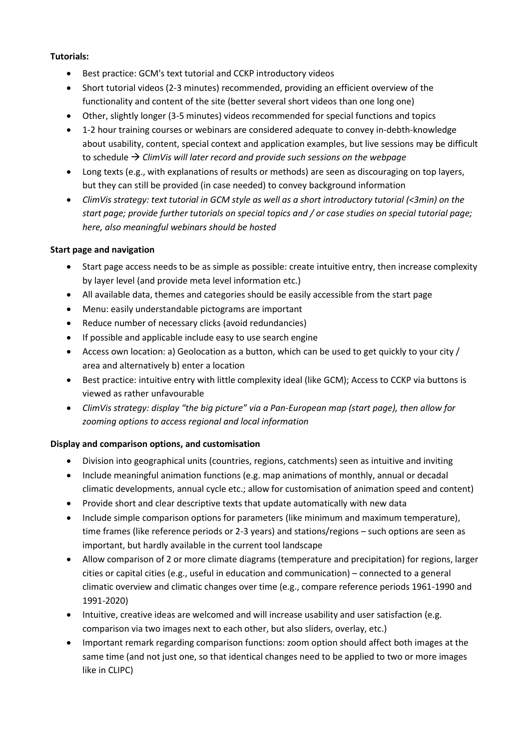#### **Tutorials:**

- Best practice: GCM's text tutorial and CCKP introductory videos
- Short tutorial videos (2-3 minutes) recommended, providing an efficient overview of the functionality and content of the site (better several short videos than one long one)
- Other, slightly longer (3-5 minutes) videos recommended for special functions and topics
- 1-2 hour training courses or webinars are considered adequate to convey in-debth-knowledge about usability, content, special context and application examples, but live sessions may be difficult to schedule → *ClimVis will later record and provide such sessions on the webpage*
- Long texts (e.g., with explanations of results or methods) are seen as discouraging on top layers, but they can still be provided (in case needed) to convey background information
- *ClimVis strategy: text tutorial in GCM style as well as a short introductory tutorial (<3min) on the start page; provide further tutorials on special topics and / or case studies on special tutorial page; here, also meaningful webinars should be hosted*

#### **Start page and navigation**

- Start page access needs to be as simple as possible: create intuitive entry, then increase complexity by layer level (and provide meta level information etc.)
- All available data, themes and categories should be easily accessible from the start page
- Menu: easily understandable pictograms are important
- Reduce number of necessary clicks (avoid redundancies)
- If possible and applicable include easy to use search engine
- Access own location: a) Geolocation as a button, which can be used to get quickly to your city / area and alternatively b) enter a location
- Best practice: intuitive entry with little complexity ideal (like GCM); Access to CCKP via buttons is viewed as rather unfavourable
- *ClimVis strategy: display "the big picture" via a Pan-European map (start page), then allow for zooming options to access regional and local information*

#### **Display and comparison options, and customisation**

- Division into geographical units (countries, regions, catchments) seen as intuitive and inviting
- Include meaningful animation functions (e.g. map animations of monthly, annual or decadal climatic developments, annual cycle etc.; allow for customisation of animation speed and content)
- Provide short and clear descriptive texts that update automatically with new data
- Include simple comparison options for parameters (like minimum and maximum temperature), time frames (like reference periods or 2-3 years) and stations/regions – such options are seen as important, but hardly available in the current tool landscape
- Allow comparison of 2 or more climate diagrams (temperature and precipitation) for regions, larger cities or capital cities (e.g., useful in education and communication) – connected to a general climatic overview and climatic changes over time (e.g., compare reference periods 1961-1990 and 1991-2020)
- Intuitive, creative ideas are welcomed and will increase usability and user satisfaction (e.g. comparison via two images next to each other, but also sliders, overlay, etc.)
- Important remark regarding comparison functions: zoom option should affect both images at the same time (and not just one, so that identical changes need to be applied to two or more images like in CLIPC)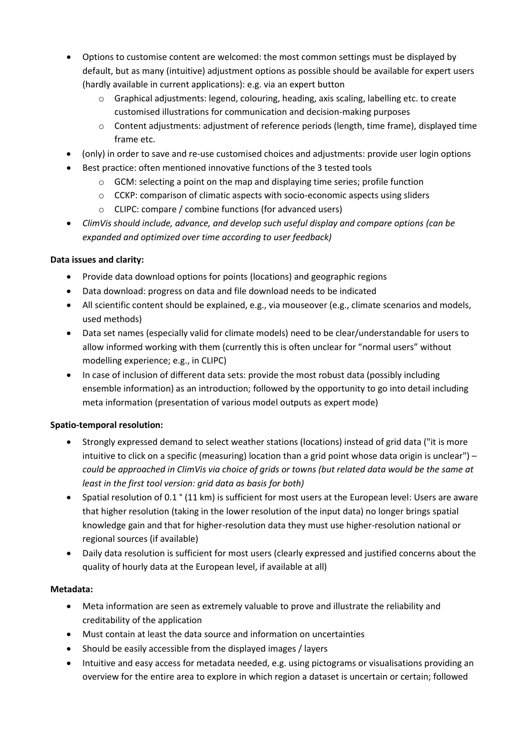- Options to customise content are welcomed: the most common settings must be displayed by default, but as many (intuitive) adjustment options as possible should be available for expert users (hardly available in current applications): e.g. via an expert button
	- o Graphical adjustments: legend, colouring, heading, axis scaling, labelling etc. to create customised illustrations for communication and decision-making purposes
	- o Content adjustments: adjustment of reference periods (length, time frame), displayed time frame etc.
- (only) in order to save and re-use customised choices and adjustments: provide user login options
- Best practice: often mentioned innovative functions of the 3 tested tools
	- $\circ$  GCM: selecting a point on the map and displaying time series; profile function
	- o CCKP: comparison of climatic aspects with socio-economic aspects using sliders
	- o CLIPC: compare / combine functions (for advanced users)
- *ClimVis should include, advance, and develop such useful display and compare options (can be expanded and optimized over time according to user feedback)*

#### **Data issues and clarity:**

- Provide data download options for points (locations) and geographic regions
- Data download: progress on data and file download needs to be indicated
- All scientific content should be explained, e.g., via mouseover (e.g., climate scenarios and models, used methods)
- Data set names (especially valid for climate models) need to be clear/understandable for users to allow informed working with them (currently this is often unclear for "normal users" without modelling experience; e.g., in CLIPC)
- In case of inclusion of different data sets: provide the most robust data (possibly including ensemble information) as an introduction; followed by the opportunity to go into detail including meta information (presentation of various model outputs as expert mode)

# **Spatio-temporal resolution:**

- Strongly expressed demand to select weather stations (locations) instead of grid data ("it is more intuitive to click on a specific (measuring) location than a grid point whose data origin is unclear") – *could be approached in ClimVis via choice of grids or towns (but related data would be the same at least in the first tool version: grid data as basis for both)*
- Spatial resolution of 0.1 ° (11 km) is sufficient for most users at the European level: Users are aware that higher resolution (taking in the lower resolution of the input data) no longer brings spatial knowledge gain and that for higher-resolution data they must use higher-resolution national or regional sources (if available)
- Daily data resolution is sufficient for most users (clearly expressed and justified concerns about the quality of hourly data at the European level, if available at all)

# **Metadata:**

- Meta information are seen as extremely valuable to prove and illustrate the reliability and creditability of the application
- Must contain at least the data source and information on uncertainties
- Should be easily accessible from the displayed images / layers
- Intuitive and easy access for metadata needed, e.g. using pictograms or visualisations providing an overview for the entire area to explore in which region a dataset is uncertain or certain; followed